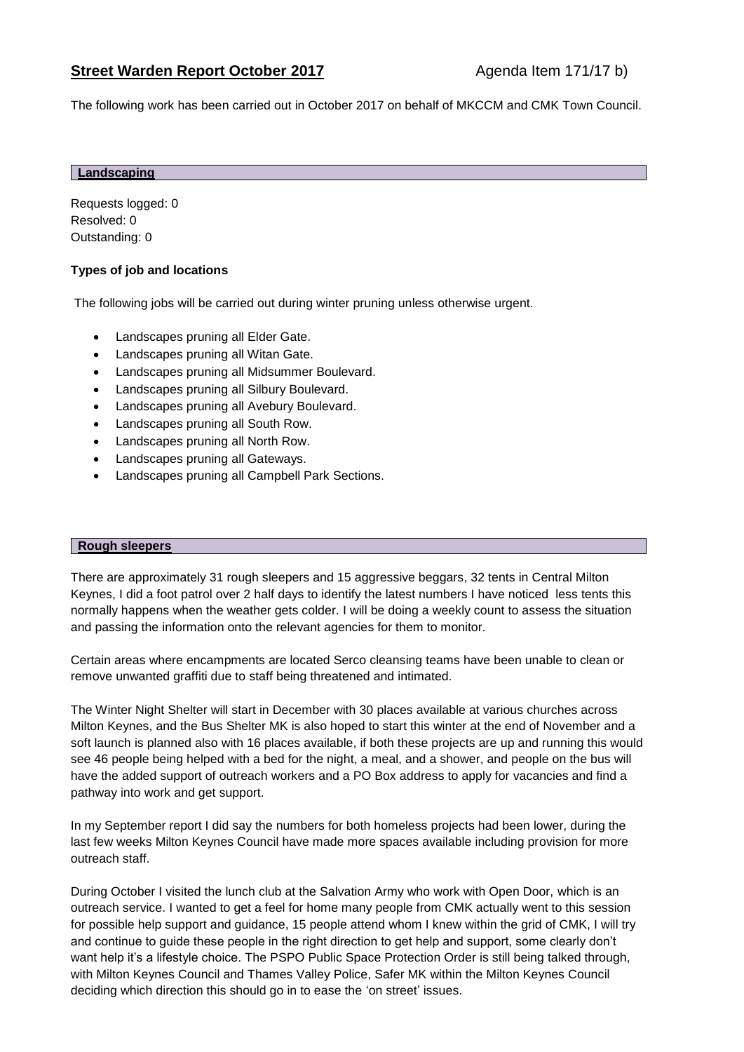The following work has been carried out in October 2017 on behalf of MKCCM and CMK Town Council.

#### **Landscaping**

Requests logged: 0 Resolved: 0 Outstanding: 0

# **Types of job and locations**

The following jobs will be carried out during winter pruning unless otherwise urgent.

- Landscapes pruning all Elder Gate.
- Landscapes pruning all Witan Gate.
- Landscapes pruning all Midsummer Boulevard.
- Landscapes pruning all Silbury Boulevard.
- Landscapes pruning all Avebury Boulevard.
- Landscapes pruning all South Row.
- Landscapes pruning all North Row.
- Landscapes pruning all Gateways.
- Landscapes pruning all Campbell Park Sections.

#### **Rough sleepers**

There are approximately 31 rough sleepers and 15 aggressive beggars, 32 tents in Central Milton Keynes, I did a foot patrol over 2 half days to identify the latest numbers I have noticed less tents this normally happens when the weather gets colder. I will be doing a weekly count to assess the situation and passing the information onto the relevant agencies for them to monitor.

Certain areas where encampments are located Serco cleansing teams have been unable to clean or remove unwanted graffiti due to staff being threatened and intimated.

The Winter Night Shelter will start in December with 30 places available at various churches across Milton Keynes, and the Bus Shelter MK is also hoped to start this winter at the end of November and a soft launch is planned also with 16 places available, if both these projects are up and running this would see 46 people being helped with a bed for the night, a meal, and a shower, and people on the bus will have the added support of outreach workers and a PO Box address to apply for vacancies and find a pathway into work and get support.

In my September report I did say the numbers for both homeless projects had been lower, during the last few weeks Milton Keynes Council have made more spaces available including provision for more outreach staff.

During October I visited the lunch club at the Salvation Army who work with Open Door, which is an outreach service. I wanted to get a feel for home many people from CMK actually went to this session for possible help support and guidance, 15 people attend whom I knew within the grid of CMK, I will try and continue to guide these people in the right direction to get help and support, some clearly don't want help it's a lifestyle choice. The PSPO Public Space Protection Order is still being talked through, with Milton Keynes Council and Thames Valley Police, Safer MK within the Milton Keynes Council deciding which direction this should go in to ease the 'on street' issues.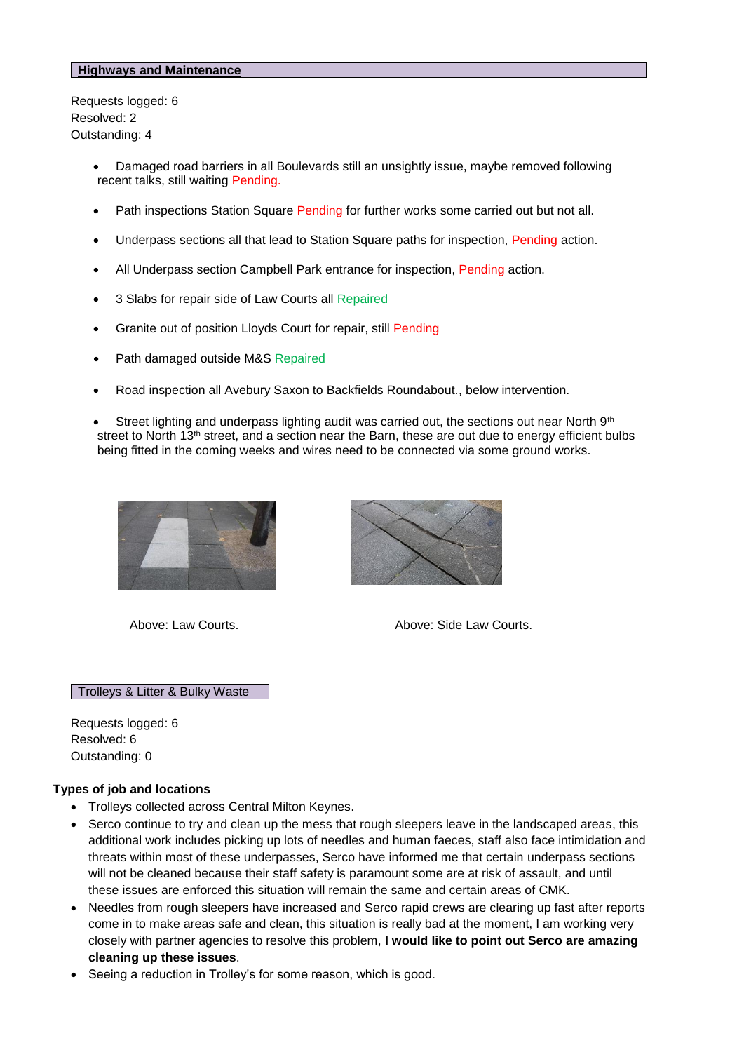#### **Highways and Maintenance**

Requests logged: 6 Resolved: 2 Outstanding: 4

- Damaged road barriers in all Boulevards still an unsightly issue, maybe removed following recent talks, still waiting Pending.
- Path inspections Station Square Pending for further works some carried out but not all.
- Underpass sections all that lead to Station Square paths for inspection, Pending action.
- All Underpass section Campbell Park entrance for inspection, Pending action.
- 3 Slabs for repair side of Law Courts all Repaired
- Granite out of position Lloyds Court for repair, still Pending
- Path damaged outside M&S Repaired
- Road inspection all Avebury Saxon to Backfields Roundabout., below intervention.
- Street lighting and underpass lighting audit was carried out, the sections out near North 9th street to North 13<sup>th</sup> street, and a section near the Barn, these are out due to energy efficient bulbs being fitted in the coming weeks and wires need to be connected via some ground works.





Above: Law Courts. Above: Side Law Courts.

### Trolleys & Litter & Bulky Waste

Requests logged: 6 Resolved: 6 Outstanding: 0

#### **Types of job and locations**

- Trolleys collected across Central Milton Keynes.
- Serco continue to try and clean up the mess that rough sleepers leave in the landscaped areas, this additional work includes picking up lots of needles and human faeces, staff also face intimidation and threats within most of these underpasses, Serco have informed me that certain underpass sections will not be cleaned because their staff safety is paramount some are at risk of assault, and until these issues are enforced this situation will remain the same and certain areas of CMK.
- Needles from rough sleepers have increased and Serco rapid crews are clearing up fast after reports come in to make areas safe and clean, this situation is really bad at the moment, I am working very closely with partner agencies to resolve this problem, **I would like to point out Serco are amazing cleaning up these issues**.
- Seeing a reduction in Trolley's for some reason, which is good.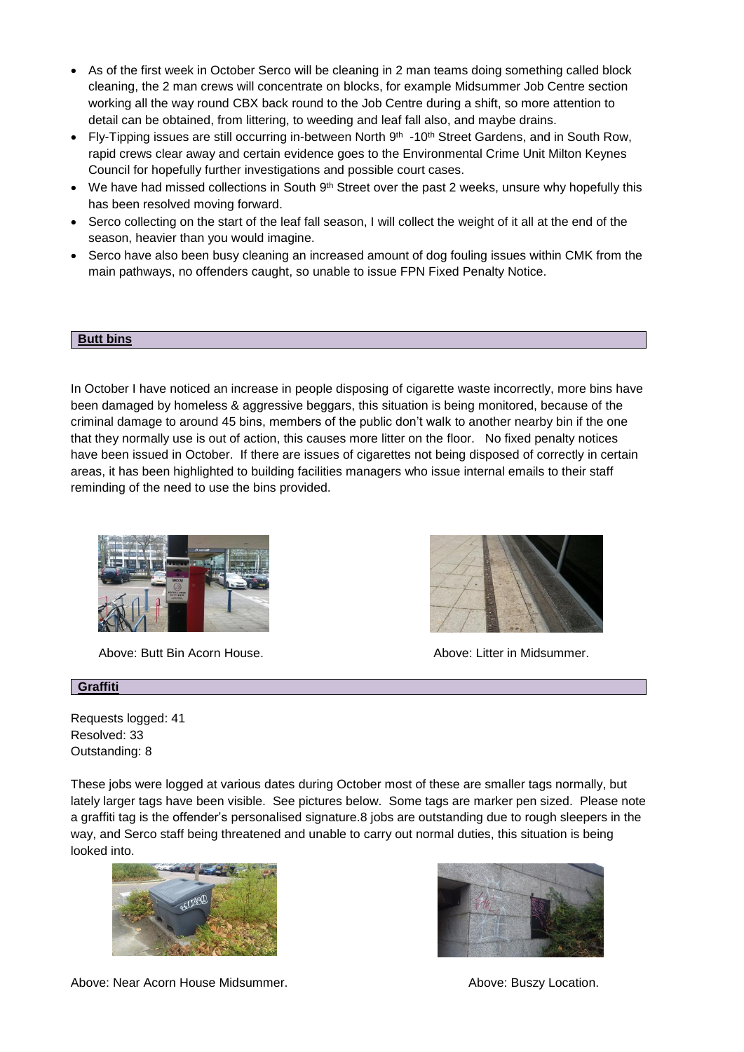- As of the first week in October Serco will be cleaning in 2 man teams doing something called block cleaning, the 2 man crews will concentrate on blocks, for example Midsummer Job Centre section working all the way round CBX back round to the Job Centre during a shift, so more attention to detail can be obtained, from littering, to weeding and leaf fall also, and maybe drains.
- Fly-Tipping issues are still occurring in-between North  $9<sup>th</sup> -10<sup>th</sup>$  Street Gardens, and in South Row, rapid crews clear away and certain evidence goes to the Environmental Crime Unit Milton Keynes Council for hopefully further investigations and possible court cases.
- We have had missed collections in South  $9<sup>th</sup>$  Street over the past 2 weeks, unsure why hopefully this has been resolved moving forward.
- Serco collecting on the start of the leaf fall season, I will collect the weight of it all at the end of the season, heavier than you would imagine.
- Serco have also been busy cleaning an increased amount of dog fouling issues within CMK from the main pathways, no offenders caught, so unable to issue FPN Fixed Penalty Notice.

#### **Butt bins**

In October I have noticed an increase in people disposing of cigarette waste incorrectly, more bins have been damaged by homeless & aggressive beggars, this situation is being monitored, because of the criminal damage to around 45 bins, members of the public don't walk to another nearby bin if the one that they normally use is out of action, this causes more litter on the floor. No fixed penalty notices have been issued in October. If there are issues of cigarettes not being disposed of correctly in certain areas, it has been highlighted to building facilities managers who issue internal emails to their staff reminding of the need to use the bins provided.



Above: Butt Bin Acorn House. Above: Litter in Midsummer.



## **Graffiti**

Requests logged: 41 Resolved: 33 Outstanding: 8

These jobs were logged at various dates during October most of these are smaller tags normally, but lately larger tags have been visible. See pictures below. Some tags are marker pen sized. Please note a graffiti tag is the offender's personalised signature.8 jobs are outstanding due to rough sleepers in the way, and Serco staff being threatened and unable to carry out normal duties, this situation is being looked into.





Above: Near Acorn House Midsummer. **Above: Buszy Location.** Above: Buszy Location.